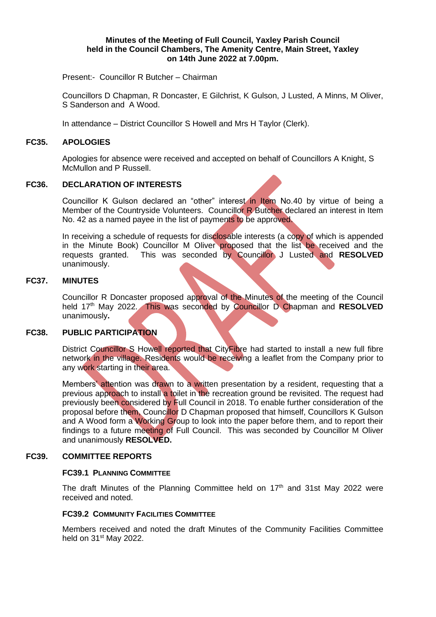#### **Minutes of the Meeting of Full Council, Yaxley Parish Council held in the Council Chambers, The Amenity Centre, Main Street, Yaxley on 14th June 2022 at 7.00pm.**

Present:- Councillor R Butcher – Chairman

Councillors D Chapman, R Doncaster, E Gilchrist, K Gulson, J Lusted, A Minns, M Oliver, S Sanderson and A Wood.

In attendance – District Councillor S Howell and Mrs H Taylor (Clerk).

#### **FC35. APOLOGIES**

Apologies for absence were received and accepted on behalf of Councillors A Knight, S McMullon and P Russell.

# **FC36. DECLARATION OF INTERESTS**

Councillor K Gulson declared an "other" interest in Item No.40 by virtue of being a Member of the Countryside Volunteers. Councillor R Butcher declared an interest in Item No. 42 as a named payee in the list of payments to be approved.

In receiving a schedule of requests for disclosable interests (a copy of which is appended in the Minute Book) Councillor M Oliver proposed that the list be received and the requests granted. This was seconded by Councillor J Lusted and **RESOLVED** unanimously.

#### **FC37. MINUTES**

Councillor R Doncaster proposed approval of the Minutes of the meeting of the Council held 17<sup>th</sup> May 2022. This was seconded by Councillor D Chapman and RESOLVED unanimously**.**

## **FC38. PUBLIC PARTICIPATION**

District Councillor S Howell reported that CityFibre had started to install a new full fibre network in the village. Residents would be receiving a leaflet from the Company prior to any work starting in their area.

Members' attention was drawn to a written presentation by a resident, requesting that a previous approach to install a toilet in the recreation ground be revisited. The request had previously been considered by Full Council in 2018. To enable further consideration of the proposal before them, Councillor D Chapman proposed that himself, Councillors K Gulson and A Wood form a Working Group to look into the paper before them, and to report their findings to a future meeting of Full Council. This was seconded by Councillor M Oliver and unanimously **RESOLVED.**

#### **FC39. COMMITTEE REPORTS**

#### **FC39.1 PLANNING COMMITTEE**

The draft Minutes of the Planning Committee held on  $17<sup>th</sup>$  and 31st May 2022 were received and noted.

#### **FC39.2 COMMUNITY FACILITIES COMMITTEE**

Members received and noted the draft Minutes of the Community Facilities Committee held on 31<sup>st</sup> May 2022.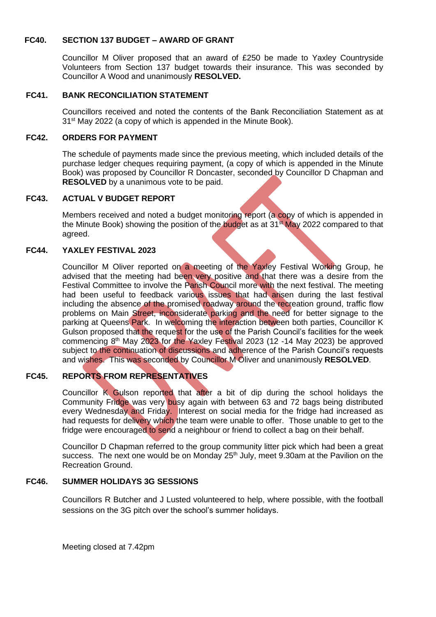## **FC40. SECTION 137 BUDGET – AWARD OF GRANT**

Councillor M Oliver proposed that an award of £250 be made to Yaxley Countryside Volunteers from Section 137 budget towards their insurance. This was seconded by Councillor A Wood and unanimously **RESOLVED.**

## **FC41. BANK RECONCILIATION STATEMENT**

Councillors received and noted the contents of the Bank Reconciliation Statement as at 31<sup>st</sup> May 2022 (a copy of which is appended in the Minute Book).

### **FC42. ORDERS FOR PAYMENT**

The schedule of payments made since the previous meeting, which included details of the purchase ledger cheques requiring payment, (a copy of which is appended in the Minute Book) was proposed by Councillor R Doncaster, seconded by Councillor D Chapman and **RESOLVED** by a unanimous vote to be paid.

## **FC43. ACTUAL V BUDGET REPORT**

Members received and noted a budget monitoring report (a copy of which is appended in the Minute Book) showing the position of the budget as at 31<sup>st</sup> May 2022 compared to that agreed.

## **FC44. YAXLEY FESTIVAL 2023**

Councillor M Oliver reported on a meeting of the Yaxley Festival Working Group, he advised that the meeting had been very positive and that there was a desire from the Festival Committee to involve the Parish Council more with the next festival. The meeting had been useful to feedback various issues that had arisen during the last festival including the absence of the promised roadway around the recreation ground, traffic flow problems on Main Street, inconsiderate parking and the need for better signage to the parking at Queens Park. In welcoming the interaction between both parties, Councillor K Gulson proposed that the request for the use of the Parish Council's facilities for the week commencing  $8<sup>th</sup>$  May 2023 for the Yaxley Festival 2023 (12 -14 May 2023) be approved subject to the continuation of discussions and adherence of the Parish Council's requests and wishes. This was seconded by Councillor M Oliver and unanimously **RESOLVED**.

# **FC45. REPORTS FROM REPRESENTATIVES**

Councillor K Gulson reported that after a bit of dip during the school holidays the Community Fridge was very busy again with between 63 and 72 bags being distributed every Wednesday and Friday. Interest on social media for the fridge had increased as had requests for delivery which the team were unable to offer. Those unable to get to the fridge were encouraged to send a neighbour or friend to collect a bag on their behalf.

Councillor D Chapman referred to the group community litter pick which had been a great success. The next one would be on Monday 25<sup>th</sup> July, meet 9.30am at the Pavilion on the Recreation Ground.

### **FC46. SUMMER HOLIDAYS 3G SESSIONS**

Councillors R Butcher and J Lusted volunteered to help, where possible, with the football sessions on the 3G pitch over the school's summer holidays.

Meeting closed at 7.42pm